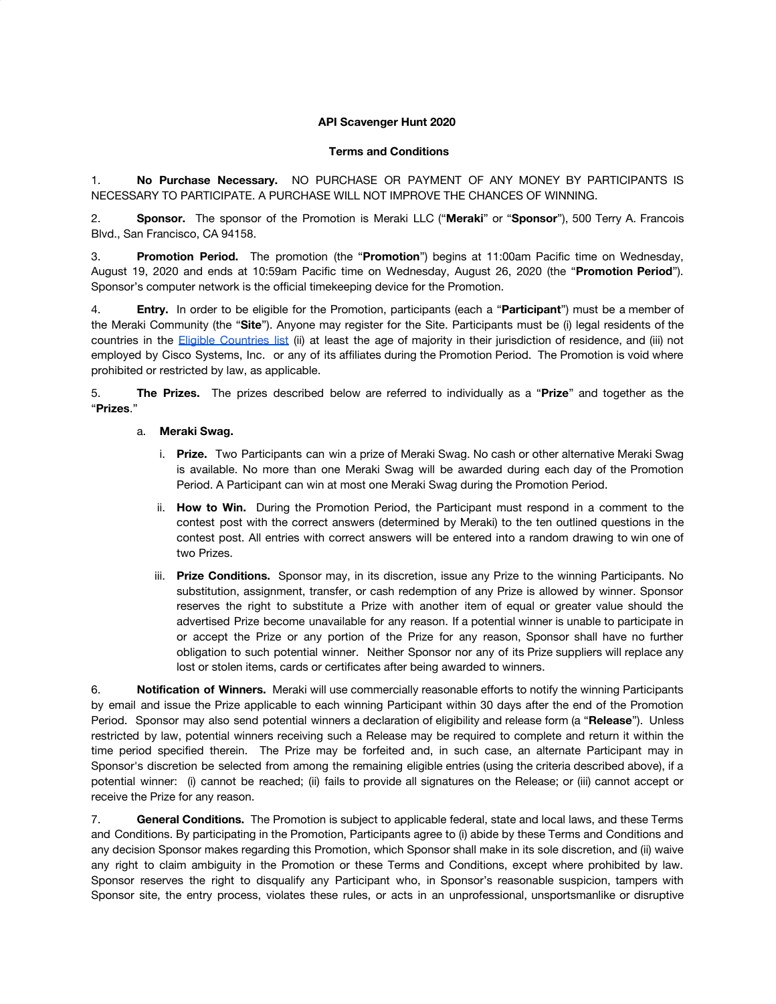## **API Scavenger Hunt 2020**

## **Terms and Conditions**

1. **No Purchase Necessary.** NO PURCHASE OR PAYMENT OF ANY MONEY BY PARTICIPANTS IS NECESSARY TO PARTICIPATE. A PURCHASE WILL NOT IMPROVE THE CHANCES OF WINNING.

2. **Sponsor.** The sponsor of the Promotion is Meraki LLC ("**Meraki**" or "**Sponsor**"), 500 Terry A. Francois Blvd., San Francisco, CA 94158.

3. **Promotion Period.** The promotion (the "**Promotion**") begins at 11:00am Pacific time on Wednesday, August 19, 2020 and ends at 10:59am Pacific time on Wednesday, August 26, 2020 (the "**Promotion Period**"). Sponsor's computer network is the official timekeeping device for the Promotion.

4. **Entry.** In order to be eligible for the Promotion, participants (each a "**Participant**") must be a member of the Meraki Community (the "**Site**"). Anyone may register for the Site. Participants must be (i) legal residents of the countries in the Eligible [Countries](https://community.meraki.com/t5/Terms-Conditions/Eligible-Countries-List/ba-p/5069/jump-to/first-unread-message) list (ii) at least the age of majority in their jurisdiction of residence, and (iii) not employed by Cisco Systems, Inc. or any of its affiliates during the Promotion Period. The Promotion is void where prohibited or restricted by law, as applicable.

5. **The Prizes.** The prizes described below are referred to individually as a "**Prize**" and together as the "**Prizes**."

## a. **Meraki Swag.**

- i. **Prize.** Two Participants can win a prize of Meraki Swag. No cash or other alternative Meraki Swag is available. No more than one Meraki Swag will be awarded during each day of the Promotion Period. A Participant can win at most one Meraki Swag during the Promotion Period.
- ii. **How to Win.** During the Promotion Period, the Participant must respond in a comment to the contest post with the correct answers (determined by Meraki) to the ten outlined questions in the contest post. All entries with correct answers will be entered into a random drawing to win one of two Prizes.
- iii. **Prize Conditions.** Sponsor may, in its discretion, issue any Prize to the winning Participants. No substitution, assignment, transfer, or cash redemption of any Prize is allowed by winner. Sponsor reserves the right to substitute a Prize with another item of equal or greater value should the advertised Prize become unavailable for any reason. If a potential winner is unable to participate in or accept the Prize or any portion of the Prize for any reason, Sponsor shall have no further obligation to such potential winner. Neither Sponsor nor any of its Prize suppliers will replace any lost or stolen items, cards or certificates after being awarded to winners.

6. **Notification of Winners.** Meraki will use commercially reasonable efforts to notify the winning Participants by email and issue the Prize applicable to each winning Participant within 30 days after the end of the Promotion Period. Sponsor may also send potential winners a declaration of eligibility and release form (a "**Release**"). Unless restricted by law, potential winners receiving such a Release may be required to complete and return it within the time period specified therein. The Prize may be forfeited and, in such case, an alternate Participant may in Sponsor's discretion be selected from among the remaining eligible entries (using the criteria described above), if a potential winner: (i) cannot be reached; (ii) fails to provide all signatures on the Release; or (iii) cannot accept or receive the Prize for any reason.

7. **General Conditions.** The Promotion is subject to applicable federal, state and local laws, and these Terms and Conditions. By participating in the Promotion, Participants agree to (i) abide by these Terms and Conditions and any decision Sponsor makes regarding this Promotion, which Sponsor shall make in its sole discretion, and (ii) waive any right to claim ambiguity in the Promotion or these Terms and Conditions, except where prohibited by law. Sponsor reserves the right to disqualify any Participant who, in Sponsor's reasonable suspicion, tampers with Sponsor site, the entry process, violates these rules, or acts in an unprofessional, unsportsmanlike or disruptive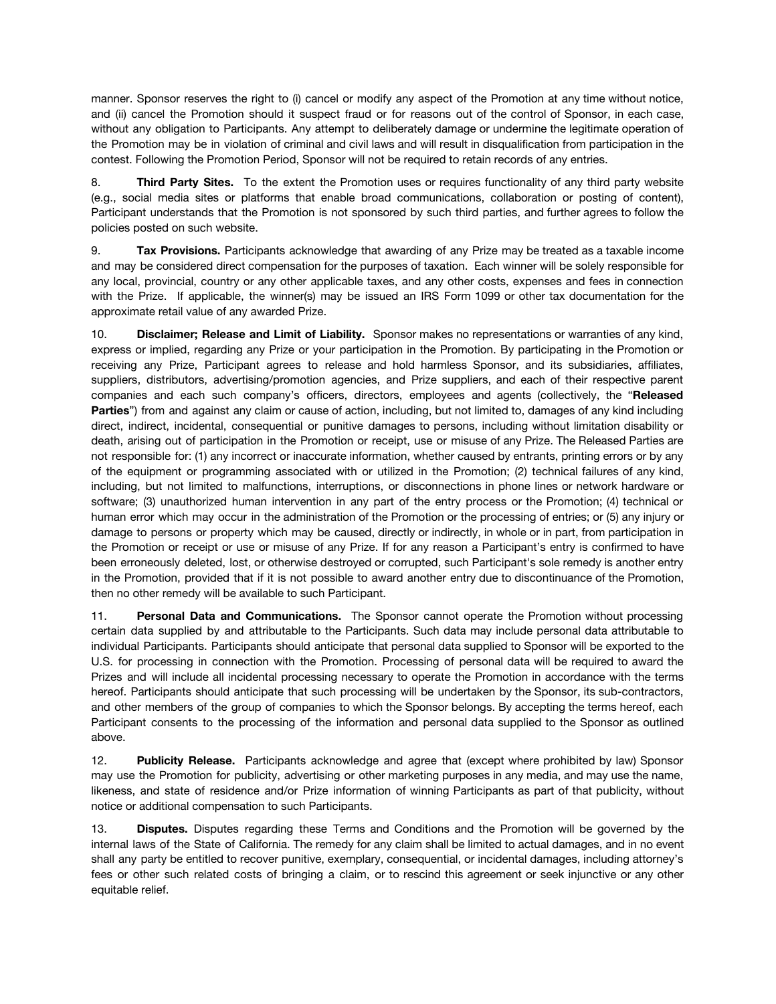manner. Sponsor reserves the right to (i) cancel or modify any aspect of the Promotion at any time without notice, and (ii) cancel the Promotion should it suspect fraud or for reasons out of the control of Sponsor, in each case, without any obligation to Participants. Any attempt to deliberately damage or undermine the legitimate operation of the Promotion may be in violation of criminal and civil laws and will result in disqualification from participation in the contest. Following the Promotion Period, Sponsor will not be required to retain records of any entries.

8. **Third Party Sites.** To the extent the Promotion uses or requires functionality of any third party website (e.g., social media sites or platforms that enable broad communications, collaboration or posting of content), Participant understands that the Promotion is not sponsored by such third parties, and further agrees to follow the policies posted on such website.

9. **Tax Provisions.** Participants acknowledge that awarding of any Prize may be treated as a taxable income and may be considered direct compensation for the purposes of taxation. Each winner will be solely responsible for any local, provincial, country or any other applicable taxes, and any other costs, expenses and fees in connection with the Prize. If applicable, the winner(s) may be issued an IRS Form 1099 or other tax documentation for the approximate retail value of any awarded Prize.

10. **Disclaimer; Release and Limit of Liability.** Sponsor makes no representations or warranties of any kind, express or implied, regarding any Prize or your participation in the Promotion. By participating in the Promotion or receiving any Prize, Participant agrees to release and hold harmless Sponsor, and its subsidiaries, affiliates, suppliers, distributors, advertising/promotion agencies, and Prize suppliers, and each of their respective parent companies and each such company's officers, directors, employees and agents (collectively, the "**Released Parties**") from and against any claim or cause of action, including, but not limited to, damages of any kind including direct, indirect, incidental, consequential or punitive damages to persons, including without limitation disability or death, arising out of participation in the Promotion or receipt, use or misuse of any Prize. The Released Parties are not responsible for: (1) any incorrect or inaccurate information, whether caused by entrants, printing errors or by any of the equipment or programming associated with or utilized in the Promotion; (2) technical failures of any kind, including, but not limited to malfunctions, interruptions, or disconnections in phone lines or network hardware or software; (3) unauthorized human intervention in any part of the entry process or the Promotion; (4) technical or human error which may occur in the administration of the Promotion or the processing of entries; or (5) any injury or damage to persons or property which may be caused, directly or indirectly, in whole or in part, from participation in the Promotion or receipt or use or misuse of any Prize. If for any reason a Participant's entry is confirmed to have been erroneously deleted, lost, or otherwise destroyed or corrupted, such Participant's sole remedy is another entry in the Promotion, provided that if it is not possible to award another entry due to discontinuance of the Promotion, then no other remedy will be available to such Participant.

11. **Personal Data and Communications.** The Sponsor cannot operate the Promotion without processing certain data supplied by and attributable to the Participants. Such data may include personal data attributable to individual Participants. Participants should anticipate that personal data supplied to Sponsor will be exported to the U.S. for processing in connection with the Promotion. Processing of personal data will be required to award the Prizes and will include all incidental processing necessary to operate the Promotion in accordance with the terms hereof. Participants should anticipate that such processing will be undertaken by the Sponsor, its sub-contractors, and other members of the group of companies to which the Sponsor belongs. By accepting the terms hereof, each Participant consents to the processing of the information and personal data supplied to the Sponsor as outlined above.

12. **Publicity Release.** Participants acknowledge and agree that (except where prohibited by law) Sponsor may use the Promotion for publicity, advertising or other marketing purposes in any media, and may use the name, likeness, and state of residence and/or Prize information of winning Participants as part of that publicity, without notice or additional compensation to such Participants.

13. **Disputes.** Disputes regarding these Terms and Conditions and the Promotion will be governed by the internal laws of the State of California. The remedy for any claim shall be limited to actual damages, and in no event shall any party be entitled to recover punitive, exemplary, consequential, or incidental damages, including attorney's fees or other such related costs of bringing a claim, or to rescind this agreement or seek injunctive or any other equitable relief.